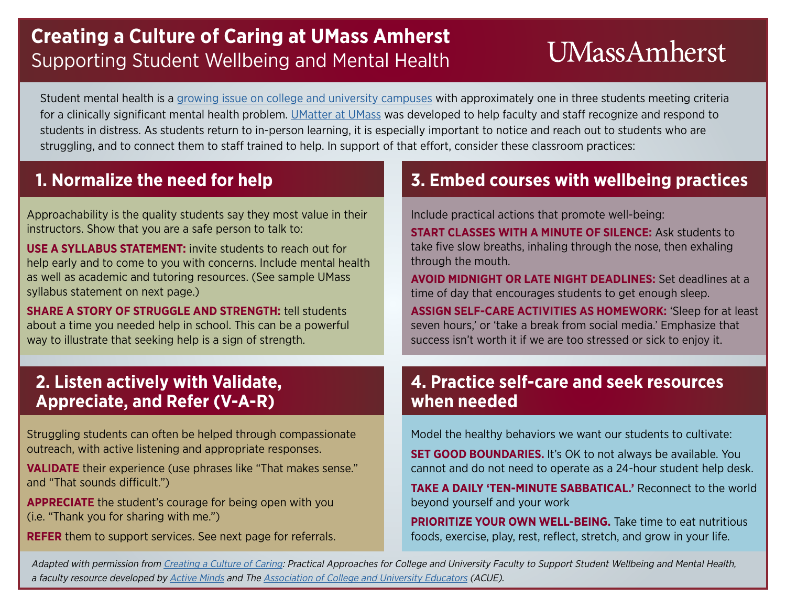## **Creating a Culture of Caring at UMass Amherst** Supporting Student Wellbeing and Mental Health

# **UMassAmherst**

Student mental health is a [growing issue on college and university campuses](http://healthymindsnetwork.org/research/hms) with approximately one in three students meeting criteria for a clinically significant mental health problem. [UMatter at UMass](https://www.umass.edu/umatter/) was developed to help faculty and staff recognize and respond to students in distress. As students return to in-person learning, it is especially important to notice and reach out to students who are struggling, and to connect them to staff trained to help. In support of that effort, consider these classroom practices:

Approachability is the quality students say they most value in their instructors. Show that you are a safe person to talk to:

**USE A SYLLABUS STATEMENT:** invite students to reach out for help early and to come to you with concerns. Include mental health as well as academic and tutoring resources. (See sample UMass syllabus statement on next page.)

**SHARE A STORY OF STRUGGLE AND STRENGTH:** tell students about a time you needed help in school. This can be a powerful way to illustrate that seeking help is a sign of strength.

## **1. Normalize the need for help 3. Embed courses with wellbeing practices**

Include practical actions that promote well-being:

**START CLASSES WITH A MINUTE OF SILENCE:** Ask students to take five slow breaths, inhaling through the nose, then exhaling through the mouth.

**AVOID MIDNIGHT OR LATE NIGHT DEADLINES:** Set deadlines at a time of day that encourages students to get enough sleep.

**ASSIGN SELF-CARE ACTIVITIES AS HOMEWORK:** 'Sleep for at least seven hours,' or 'take a break from social media.' Emphasize that success isn't worth it if we are too stressed or sick to enjoy it.

## **2. Listen actively with Validate, Appreciate, and Refer (V-A-R)**

Struggling students can often be helped through compassionate outreach, with active listening and appropriate responses.

**VALIDATE** their experience (use phrases like "That makes sense." and "That sounds difficult.")

**APPRECIATE** the student's courage for being open with you (i.e. "Thank you for sharing with me.")

**REFER** them to support services. See next page for referrals.

### **4. Practice self-care and seek resources when needed**

Model the healthy behaviors we want our students to cultivate:

**SET GOOD BOUNDARIES.** It's OK to not always be available. You cannot and do not need to operate as a 24-hour student help desk.

**TAKE A DAILY 'TEN-MINUTE SABBATICAL.'** Reconnect to the world beyond yourself and your work

**PRIORITIZE YOUR OWN WELL-BEING.** Take time to eat nutritious foods, exercise, play, rest, reflect, stretch, and grow in your life.

Adapted with permission from [Creating a Culture of Caring](https://acue.org/wp-content/uploads/2020/04/Faculty-Resource_Creating-a-Culture-of-Caring.pdf): Practical Approaches for College and University Faculty to Support Student Wellbeing and Mental Health, a faculty resource developed by [Active Minds](https://www.activeminds.org/) and The [Association of College and University Educators](https://acue.org/) (ACUE).